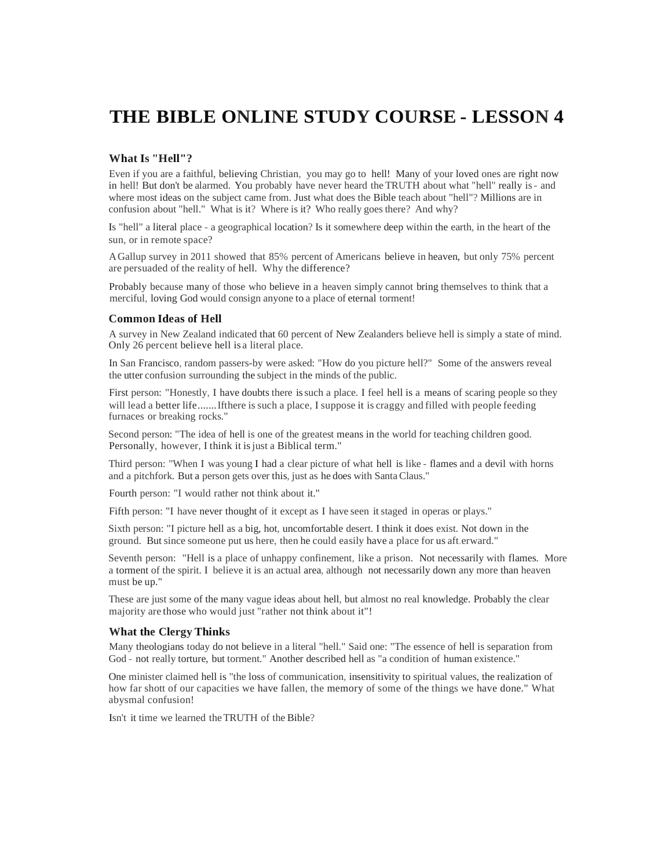# **THE BIBLE ONLINE STUDY COURSE - LESSON 4**

# **What Is "Hell"?**

Even if you are a faithful, believing Christian, you may go to hell! Many of your loved ones are right now in hell! But don't be alarmed. You probably have never heard the TRUTH about what "hell" really is- and where most ideas on the subject came from. Just what does the Bible teach about "hell"? Millions are in confusion about "hell." What is it? Where is it? Who really goes there? And why?

Is "hell" a literal place - a geographical location? Is it somewhere deep within the earth, in the heart of the sun, or in remote space?

AGallup survey in 2011 showed that 85% percent of Americans believe in heaven, but only 75% percent are persuaded of the reality of hell. Why the difference?

Probably because many of those who believe in a heaven simply cannot bring themselves to think that a merciful, loving God would consign anyone to a place of eternal torment!

#### **Common Ideas of Hell**

A survey in New Zealand indicated that 60 percent of New Zealanders believe hell is simply a state of mind. Only 26 percent believe hell is a literal place.

In San Francisco, random passers-by were asked: "How do you picture hell?" Some of the answers reveal the utter confusion surrounding the subject in the minds of the public.

First person: "Honestly, I have doubts there issuch a place. I feel hell is a means of scaring people so they will lead a better life........If there is such a place, I suppose it is craggy and filled with people feeding furnaces or breaking rocks."

Second person: "The idea of hell is one of the greatest means in the world for teaching children good. Personally, however, I think it isjust a Biblical term."

Third person: "When I was young I had a clear picture of what hell is like - flames and a devil with horns and a pitchfork. But a person gets over this, just as he does with SantaClaus."

Fourth person: "I would rather not think about it."

Fifth person: "I have never thought of it except as I have seen it staged in operas or plays."

Sixth person: "I picture hell as a big, hot, uncomfortable desert. I think it does exist. Not down in the ground. But since someone put us here, then he could easily have a place for us aft.erward."

Seventh person: "Hell is a place of unhappy confinement, like a prison. Not necessarily with flames. More a torment of the spirit. I believe it is an actual area, although not necessarily down any more than heaven must be up."

These are just some of the many vague ideas about hell, but almost no real knowledge. Probably the clear majority are those who would just "rather not think about it"!

## **What the Clergy Thinks**

Many theologians today do not believe in a literal "hell." Said one: "The essence of hell is separation from God - not really torture, but torment." Another described hell as "a condition of human existence."

One minister claimed hell is "the loss of communication, insensitivity to spiritual values, the realization of how far shott of our capacities we have fallen, the memory of some of the things we have done." What abysmal confusion!

Isn't it time we learned theTRUTH of the Bible?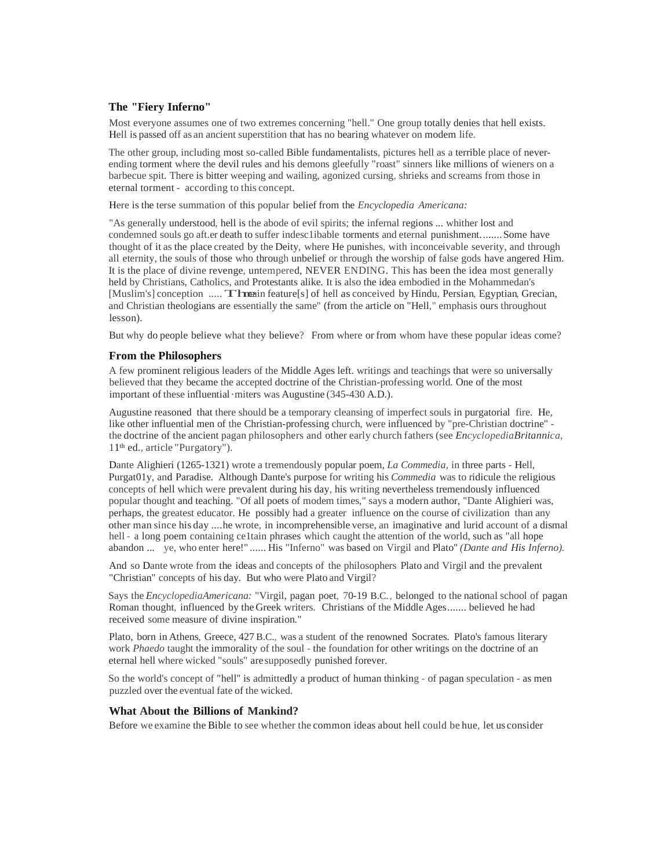# **The "Fiery Inferno"**

Most everyone assumes one of two extremes concerning "hell." One group totally denies that hell exists. Hell is passed off as an ancient superstition that has no bearing whatever on modem life.

The other group, including most so-called Bible fundamentalists, pictures hell as a terrible place of neverending torment where the devil rules and his demons gleefully "roast" sinners like millions of wieners on a barbecue spit. There is bitter weeping and wailing, agonized cursing, shrieks and screams from those in eternal torment - according to this concept.

Here is the terse summation of this popular belief from the *Encyclopedia Americana:*

"As generally understood, hell is the abode of evil spirits; the infernal regions ... whither lost and condemned souls go aft.er death to suffer indesc1ibable torments and eternal punishment........Some have thought of it as the place created by the Deity, where He punishes, with inconceivable severity, and through all eternity, the souls of those who through unbelief or through the worship of false gods have angered Him. It is the place of divine revenge, untempered, NEVER ENDING. This has been the idea most generally held by Christians, Catholics, and Protestants alike. It is also the idea embodied in the Mohammedan's [Muslim's] conception ..... **Thuma**in feature[s] of hell as conceived by Hindu, Persian, Egyptian, Grecian, and Christian theologians are essentially the same" (from the article on "Hell," emphasis ours throughout lesson).

But why do people believe what they believe? From where or from whom have these popular ideas come?

## **From the Philosophers**

A few prominent religious leaders of the Middle Ages left. writings and teachings that were so universally believed that they became the accepted doctrine of the Christian-professing world. One of the most important of these influential·miters was Augustine (345-430 A.D.).

Augustine reasoned that there should be a temporary cleansing of imperfect souls in purgatorial fire. He, like other influential men of the Christian-professing church, were influenced by "pre-Christian doctrine" the doctrine of the ancient pagan philosophers and other early church fathers (see *EncyclopediaBritannica,* 11 th ed., article "Purgatory").

Dante Alighieri (1265-1321) wrote a tremendously popular poem, *La Commedia,* in three parts - Hell, Purgat01y, and Paradise. Although Dante's purpose for writing his *Commedia* was to ridicule the religious concepts of hell which were prevalent during his day, his writing nevertheless tremendously influenced popular thought and teaching. "Of all poets of modem times," says a modern author, "Dante Alighieri was, perhaps, the greatest educator. He possibly had a greater influence on the course of civilization than any other man since his day ....he wrote, in incomprehensible verse, an imaginative and lurid account of a dismal hell - a long poem containing ce1tain phrases which caught the attention of the world, such as "all hope abandon ... ye, who enter here!" ...... His "Inferno" was based on Virgil and Plato" *(Dante and His Inferno).*

And so Dante wrote from the ideas and concepts of the philosophers Plato and Virgil and the prevalent "Christian" concepts of his day. But who were Plato and Virgil?

Says the *EncyclopediaAmericana:* "Virgil, pagan poet, 70-19 B.C., belonged to the national school of pagan Roman thought, influenced by the Greek writers. Christians of the Middle Ages....... believed he had received some measure of divine inspiration."

Plato, born in Athens, Greece, 427 B.C., was a student of the renowned Socrates. Plato's famous literary work *Phaedo* taught the immorality of the soul - the foundation for other writings on the doctrine of an eternal hell where wicked "souls" are supposedly punished forever.

So the world's concept of "hell" is admittedly a product of human thinking - of pagan speculation - as men puzzled over the eventual fate of the wicked.

# **What About the Billions of Mankind?**

Before we examine the Bible to see whether the common ideas about hell could be hue, let us consider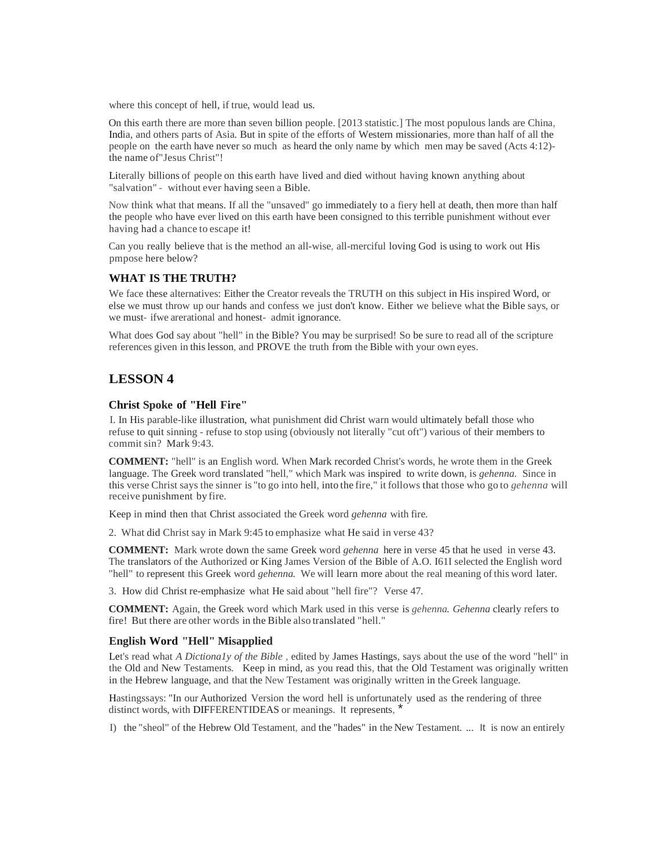where this concept of hell, if true, would lead us.

On this earth there are more than seven billion people. [2013 statistic.] The most populous lands are China, India, and others parts of Asia. But in spite of the efforts of Western missionaries, more than half of all the people on the earth have never so much as heard the only name by which men may be saved (Acts 4:12) the name of"Jesus Christ"!

Literally billions of people on this earth have lived and died without having known anything about "salvation" - without ever having seen a Bible.

Now think what that means. If all the "unsaved" go immediately to a fiery hell at death, then more than half the people who have ever lived on this earth have been consigned to this terrible punishment without ever having had a chance to escape it!

Can you really believe that is the method an all-wise, all-merciful loving God is using to work out His pmpose here below?

## **WHAT IS THE TRUTH?**

We face these alternatives: Either the Creator reveals the TRUTH on this subject in His inspired Word, or else we must throw up our hands and confess we just don't know. Either we believe what the Bible says, or we must- ifwe arerational and honest- admit ignorance.

What does God say about "hell" in the Bible? You may be surprised! So be sure to read all of the scripture references given in thislesson, and PROVE the truth from the Bible with your own eyes.

# **LESSON 4**

# **Christ Spoke of "Hell Fire"**

I. In His parable-like illustration, what punishment did Christ warn would ultimately befall those who refuse to quit sinning - refuse to stop using (obviously not literally "cut oft") various of their members to commit sin? Mark 9:43.

**COMMENT:** "hell" is an English word. When Mark recorded Christ's words, he wrote them in the Greek language. The Greek word translated "hell," which Mark was inspired to write down, is *gehenna.* Since in this verse Christ says the sinner is "to go into hell, into the fire," it follows that those who go to *gehenna* will receive punishment by fire.

Keep in mind then that Christ associated the Greek word *gehenna* with fire.

2. What did Christ say in Mark 9:45 to emphasize what He said in verse 43?

**COMMENT:** Mark wrote down the same Greek word *gehenna* here in verse 45 that he used in verse 43. The translators of the Authorized or King James Version of the Bible of A.O. I61I selected the English word "hell" to represent this Greek word *gehenna.* We will learn more about the real meaning of this word later.

3. How did Christ re-emphasize what He said about "hell fire"? Verse 47.

**COMMENT:** Again, the Greek word which Mark used in this verse is *gehenna. Gehenna* clearly refers to fire! But there are other words in the Bible also translated "hell."

## **English Word "Hell" Misapplied**

Let's read what *A Dictiona1y of the Bible ,* edited by James Hastings, says about the use of the word "hell" in the Old and New Testaments. Keep in mind, as you read this, that the Old Testament was originally written in the Hebrew language, and that the New Testament was originally written in the Greek language.

Hastingssays: "In our Authorized Version the word hell is unfortunately used as the rendering of three distinct words, with DIFFERENTIDEAS or meanings. It represents,

I) the "sheol" of the Hebrew Old Testament, and the "hades" in the New Testament. ... It is now an entirely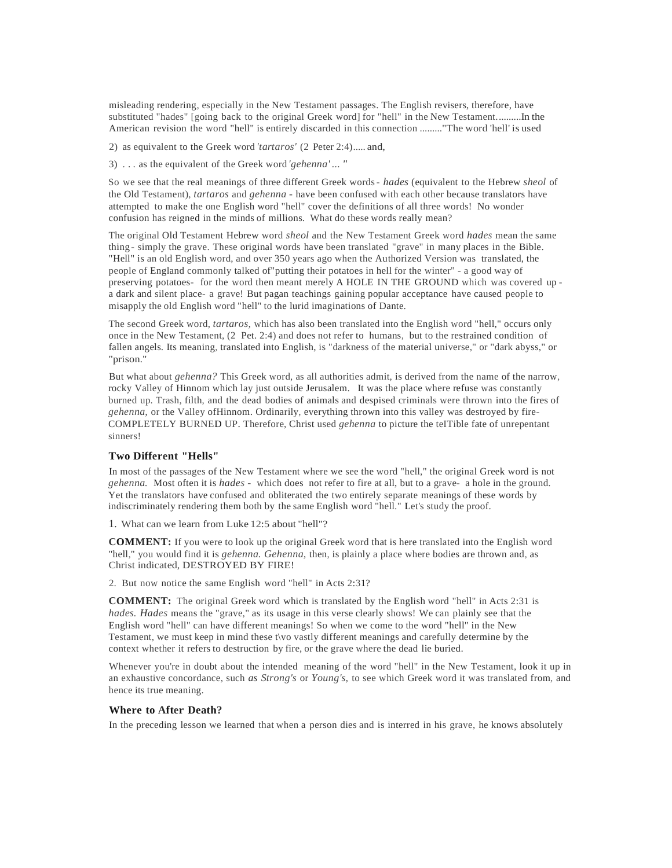misleading rendering, especially in the New Testament passages. The English revisers, therefore, have substituted "hades" [going back to the original Greek word] for "hell" in the New Testament..........In the American revision the word "hell" is entirely discarded in this connection ........."The word 'hell' is used

2) as equivalent to the Greek word *'tartaros'* (2 Peter 2:4)..... and,

3) . . . as the equivalent of the Greek word *'gehenna' ... "*

So we see that the real meanings of three different Greek words- *hades* (equivalent to the Hebrew *sheol* of the Old Testament), *tartaros* and *gehenna* - have been confused with each other because translators have attempted to make the one English word "hell" cover the definitions of all three words! No wonder confusion has reigned in the minds of millions. What do these words really mean?

The original Old Testament Hebrew word *sheol* and the New Testament Greek word *hades* mean the same thing - simply the grave. These original words have been translated "grave" in many places in the Bible. "Hell" is an old English word, and over 350 years ago when the Authorized Version was translated, the people of England commonly talked of"putting their potatoes in hell for the winter" - a good way of preserving potatoes- for the word then meant merely A HOLE IN THE GROUND which was covered up a dark and silent place- a grave! But pagan teachings gaining popular acceptance have caused people to misapply the old English word "hell" to the lurid imaginations of Dante.

The second Greek word, *tartaros,* which has also been translated into the English word "hell," occurs only once in the New Testament, (2 Pet. 2:4) and does not refer to humans, but to the restrained condition of fallen angels. Its meaning, translated into English, is "darkness of the material universe," or "dark abyss," or "prison."

But what about *gehenna?* This Greek word, as all authorities admit, is derived from the name of the narrow, rocky Valley of Hinnom which lay just outside Jerusalem. It was the place where refuse was constantly burned up. Trash, filth, and the dead bodies of animals and despised criminals were thrown into the fires of *gehenna,* or the Valley ofHinnom. Ordinarily, everything thrown into this valley was destroyed by fire-COMPLETELY BURNED UP. Therefore, Christ used *gehenna* to picture the teITible fate of unrepentant sinners!

#### **Two Different "Hells"**

In most of the passages of the New Testament where we see the word "hell," the original Greek word is not *gehenna.* Most often it is *hades* - which does not refer to fire at all, but to a grave- a hole in the ground. Yet the translators have confused and obliterated the two entirely separate meanings of these words by indiscriminately rendering them both by the same English word "hell." Let's study the proof.

1. What can we learn from Luke 12:5 about "hell"?

**COMMENT:** If you were to look up the original Greek word that is here translated into the English word "hell," you would find it is *gehenna. Gehenna,* then, is plainly a place where bodies are thrown and, as Christ indicated, DESTROYED BY FIRE!

2. But now notice the same English word "hell" in Acts 2:31?

**COMMENT:** The original Greek word which is translated by the English word "hell" in Acts 2:31 is *hades. Hades* means the "grave," as its usage in this verse clearly shows! We can plainly see that the English word "hell" can have different meanings! So when we come to the word "hell" in the New Testament, we must keep in mind these t\vo vastly different meanings and carefully determine by the context whether it refers to destruction by fire, or the grave where the dead lie buried.

Whenever you're in doubt about the intended meaning of the word "hell" in the New Testament, look it up in an exhaustive concordance, such *as Strong's* or *Young's,* to see which Greek word it was translated from, and hence its true meaning.

#### **Where to After Death?**

In the preceding lesson we learned that when a person dies and is interred in his grave, he knows absolutely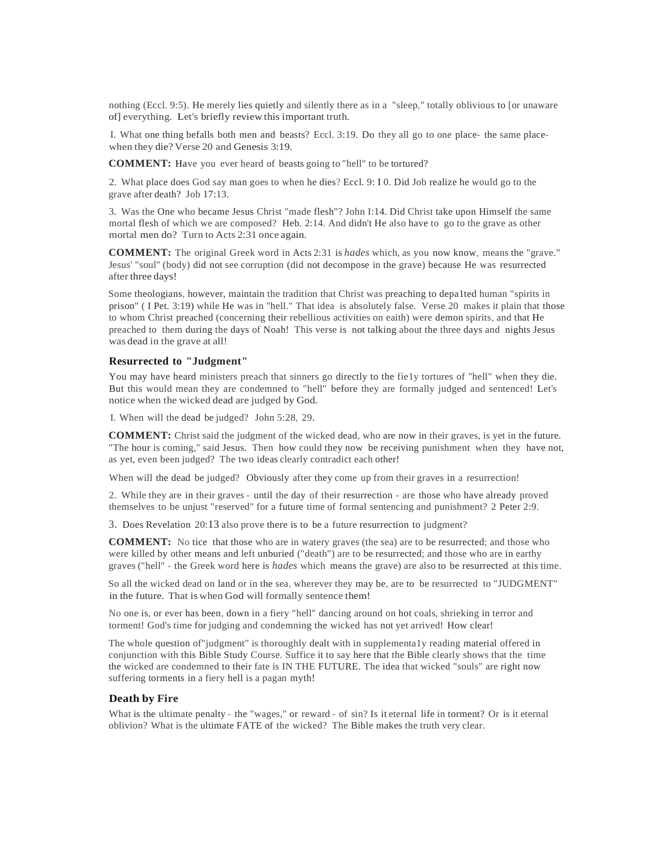nothing (Eccl. 9:5). He merely lies quietly and silently there as in a "sleep," totally oblivious to [or unaware of] everything. Let's briefly review this important truth.

I. What one thing befalls both men and beasts? Eccl. 3:19. Do they all go to one place- the same placewhen they die? Verse 20 and Genesis 3:19.

**COMMENT:** Have you ever heard of beasts going to "hell" to be tortured?

2. What place does God say man goes to when he dies? Eccl. 9: I 0. Did Job realize he would go to the grave after death? Job 17:13.

3. Was the One who became Jesus Christ "made flesh"? John I:14. Did Christ take upon Himself the same mortal flesh of which we are composed? Heb. 2:14. And didn't He also have to go to the grave as other mortal men do? Turn to Acts 2:31 once again.

**COMMENT:** The original Greek word in Acts 2:31 is *hades* which, as you now know, means the "grave." Jesus' "soul" (body) did not see corruption (did not decompose in the grave) because He was resurrected after three days!

Some theologians, however, maintain the tradition that Christ was preaching to depa1ted human "spirits in prison" ( I Pet. 3:19) while He was in "hell." That idea is absolutely false. Verse 20 makes it plain that those to whom Christ preached (concerning their rebellious activities on eaith) were demon spirits, and that He preached to them during the days of Noah! This verse is not talking about the three days and nights Jesus was dead in the grave at all!

#### **Resurrected to "Judgment"**

You may have heard ministers preach that sinners go directly to the fie1y tortures of "hell" when they die. But this would mean they are condemned to "hell" before they are formally judged and sentenced! Let's notice when the wicked dead are judged by God.

I. When will the dead be judged? John 5:28, 29.

**COMMENT:** Christ said the judgment of the wicked dead, who are now in their graves, is yet in the future. "The hour is coming," said Jesus. Then how could they now be receiving punishment when they have not, as yet, even been judged? The two ideas clearly contradict each other!

When will the dead be judged? Obviously after they come up from their graves in a resurrection!

2. While they are in their graves - until the day of their resurrection - are those who have already proved themselves to be unjust "reserved" for a future time of formal sentencing and punishment? 2 Peter 2:9.

3. Does Revelation 20:13 also prove there is to be a future resurrection to judgment?

**COMMENT:** No tice that those who are in watery graves (the sea) are to be resurrected; and those who were killed by other means and left unburied ("death") are to be resurrected; and those who are in earthy graves ("hell" - the Greek word here is *hades* which means the grave) are also to be resurrected at this time.

So all the wicked dead on land or in the sea, wherever they may be, are to be resurrected to "JUDGMENT" in the future. That is when God will formally sentence them!

No one is, or ever has been, down in a fiery "hell" dancing around on hot coals, shrieking in terror and torment! God's time for judging and condemning the wicked has not yet arrived! How clear!

The whole question of"judgment" is thoroughly dealt with in supplementa1y reading material offered in conjunction with this Bible Study Course. Suffice it to say here that the Bible clearly shows that the time the wicked are condemned to their fate is IN THE FUTURE. The idea that wicked "souls" are right now suffering torments in a fiery hell is a pagan myth!

## **Death by Fire**

What is the ultimate penalty - the "wages," or reward - of sin? Is it eternal life in torment? Or is it eternal oblivion? What is the ultimate FATE of the wicked? The Bible makes the truth very clear.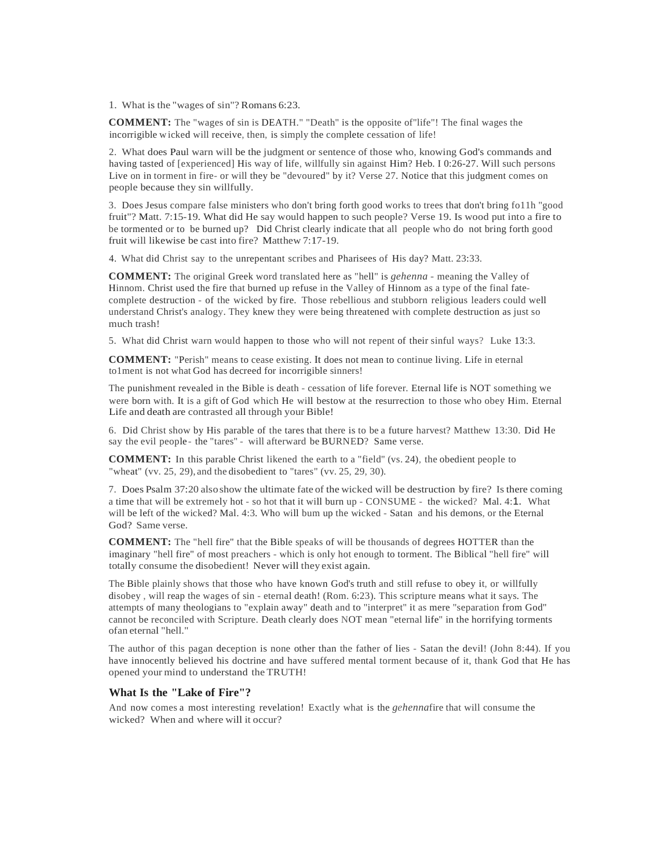1. What is the "wages of sin"? Romans 6:23.

**COMMENT:** The "wages of sin is DEATH." "Death" is the opposite of"life"! The final wages the incorrigible wicked will receive, then, is simply the complete cessation of life!

2. What does Paul warn will be the judgment or sentence of those who, knowing God's commands and having tasted of [experienced] His way of life, willfully sin against Him? Heb. I 0:26-27. Will such persons Live on in torment in fire- or will they be "devoured" by it? Verse 27. Notice that this judgment comes on people because they sin willfully.

3. Does Jesus compare false ministers who don't bring forth good works to trees that don't bring fo11h "good fruit"? Matt. 7:15-19. What did He say would happen to such people? Verse 19. Is wood put into a fire to be tormented or to be burned up? Did Christ clearly indicate that all people who do not bring forth good fruit will likewise be cast into fire? Matthew 7:17-19.

4. What did Christ say to the unrepentant scribes and Pharisees of His day? Matt. 23:33.

**COMMENT:** The original Greek word translated here as "hell" is *gehenna* - meaning the Valley of Hinnom. Christ used the fire that burned up refuse in the Valley of Hinnom as a type of the final fatecomplete destruction - of the wicked by fire. Those rebellious and stubborn religious leaders could well understand Christ's analogy. They knew they were being threatened with complete destruction as just so much trash!

5. What did Christ warn would happen to those who will not repent of their sinful ways? Luke 13:3.

**COMMENT:** "Perish" means to cease existing. It does not mean to continue living. Life in eternal to1ment is not what God has decreed for incorrigible sinners!

The punishment revealed in the Bible is death - cessation of life forever. Eternal life is NOT something we were born with. It is a gift of God which He will bestow at the resurrection to those who obey Him. Eternal Life and death are contrasted all through your Bible!

6. Did Christ show by His parable of the tares that there is to be a future harvest? Matthew 13:30. Did He say the evil people - the "tares" - will afterward be BURNED? Same verse.

**COMMENT:** In this parable Christ likened the earth to a "field" (vs. 24), the obedient people to "wheat" (vv. 25, 29), and the disobedient to "tares" (vv. 25, 29, 30).

7. Does Psalm 37:20 alsoshow the ultimate fate of the wicked will be destruction by fire? Is there coming a time that will be extremely hot - so hot that it will burn up - CONSUME - the wicked? Mal. 4:1. What will be left of the wicked? Mal. 4:3. Who will bum up the wicked - Satan and his demons, or the Eternal God? Same verse.

**COMMENT:** The "hell fire" that the Bible speaks of will be thousands of degrees HOTTER than the imaginary "hell fire" of most preachers - which is only hot enough to torment. The Biblical "hell fire" will totally consume the disobedient! Never will they exist again.

The Bible plainly shows that those who have known God's truth and still refuse to obey it, or willfully disobey , will reap the wages of sin - eternal death! (Rom. 6:23). This scripture means what it says. The attempts of many theologians to "explain away" death and to "interpret" it as mere "separation from God" cannot be reconciled with Scripture. Death clearly does NOT mean "eternal life" in the horrifying torments ofan eternal "hell."

The author of this pagan deception is none other than the father of lies - Satan the devil! (John 8:44). If you have innocently believed his doctrine and have suffered mental torment because of it, thank God that He has opened your mind to understand the TRUTH!

#### **What Is the "Lake of Fire"?**

And now comes a most interesting revelation! Exactly what is the *gehenna*fire that will consume the wicked? When and where will it occur?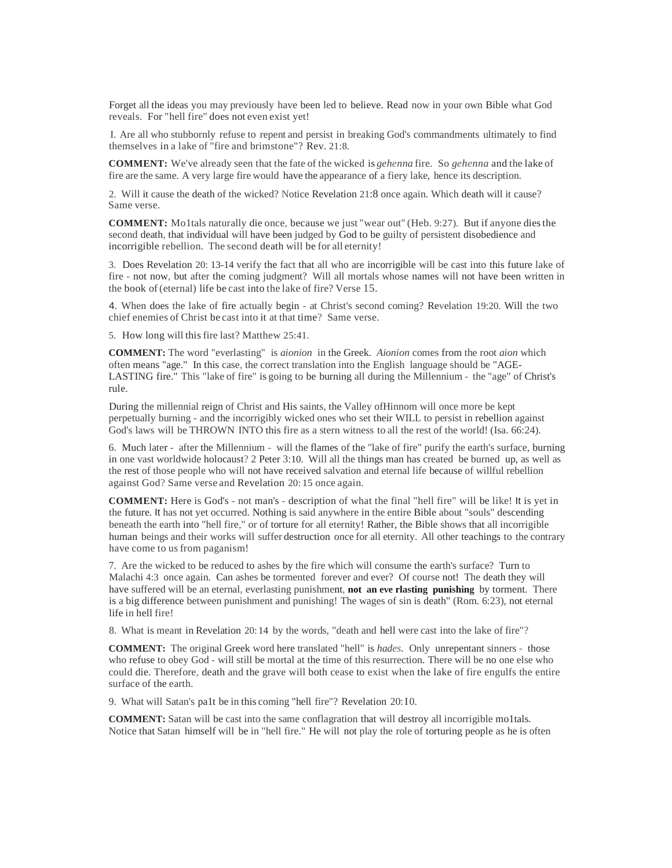Forget all the ideas you may previously have been led to believe. Read now in your own Bible what God reveals. For "hell fire" does not even exist yet!

I. Are all who stubbornly refuse to repent and persist in breaking God's commandments ultimately to find themselves in a lake of "fire and brimstone"? Rev. 21:8.

**COMMENT:** We've already seen that the fate of the wicked is *gehenna* fire. So *gehenna* and the lake of fire are the same. A very large fire would have the appearance of a fiery lake, hence its description.

2. Will it cause the death of the wicked? Notice Revelation 21:8 once again. Which death will it cause? Same verse.

**COMMENT:** Mo1tals naturally die once, because we just "wear out" (Heb. 9:27). But if anyone diesthe second death, that individual will have been judged by God to be guilty of persistent disobedience and incorrigible rebellion. The second death will be for all eternity!

3. Does Revelation 20: 13-14 verify the fact that all who are incorrigible will be cast into this future lake of fire - not now, but after the coming judgment? Will all mortals whose names will not have been written in the book of (eternal) life be cast into the lake of fire? Verse 15.

4. When does the lake of fire actually begin - at Christ's second coming? Revelation 19:20. Will the two chief enemies of Christ be cast into it at that time? Same verse.

5. How long will thisfire last? Matthew 25:41.

**COMMENT:** The word "everlasting" is *aionion* in the Greek. *Aionion* comes from the root *aion* which often means "age." In this case, the correct translation into the English language should be "AGE-LASTING fire." This "lake of fire" is going to be burning all during the Millennium - the "age" of Christ's rule.

During the millennial reign of Christ and His saints, the Valley ofHinnom will once more be kept perpetually burning - and the incorrigibly wicked ones who set their WILL to persist in rebellion against God's laws will be THROWN INTO this fire as a stern witness to all the rest of the world! (Isa. 66:24).

6. Much later - after the Millennium - will the flames of the "lake of fire" purify the earth's surface, burning in one vast worldwide holocaust? 2 Peter 3:10. Will all the things man has created be burned up, as well as the rest of those people who will not have received salvation and eternal life because of willful rebellion against God? Same verse and Revelation 20: 15 once again.

**COMMENT:** Here is God's - not man's - description of what the final "hell fire" will be like! It is yet in the future. It has not yet occurred. Nothing is said anywhere in the entire Bible about "souls" descending beneath the earth into "hell fire," or of torture for all eternity! Rather, the Bible shows that all incorrigible human beings and their works will suffer destruction once for all eternity. All other teachings to the contrary have come to us from paganism!

7. Are the wicked to be reduced to ashes by the fire which will consume the earth's surface? Turn to Malachi 4:3 once again. Can ashes be tormented forever and ever? Of course not! The death they will have suffered will be an eternal, everlasting punishment, **not an eve rlasting punishing** by torment. There is a big difference between punishment and punishing! The wages of sin is death" (Rom. 6:23), not eternal life in hell fire!

8. What is meant in Revelation 20: 14 by the words, "death and hell were cast into the lake of fire"?

**COMMENT:** The original Greek word here translated "hell" is *hades.* Only unrepentant sinners - those who refuse to obey God - will still be mortal at the time of this resurrection. There will be no one else who could die. Therefore, death and the grave will both cease to exist when the lake of fire engulfs the entire surface of the earth.

9. What will Satan's pa1t be in this coming "hell fire"? Revelation 20:I0.

**COMMENT:** Satan will be cast into the same conflagration that will destroy all incorrigible mo1tals. Notice that Satan himself will be in "hell fire." He will not play the role of torturing people as he is often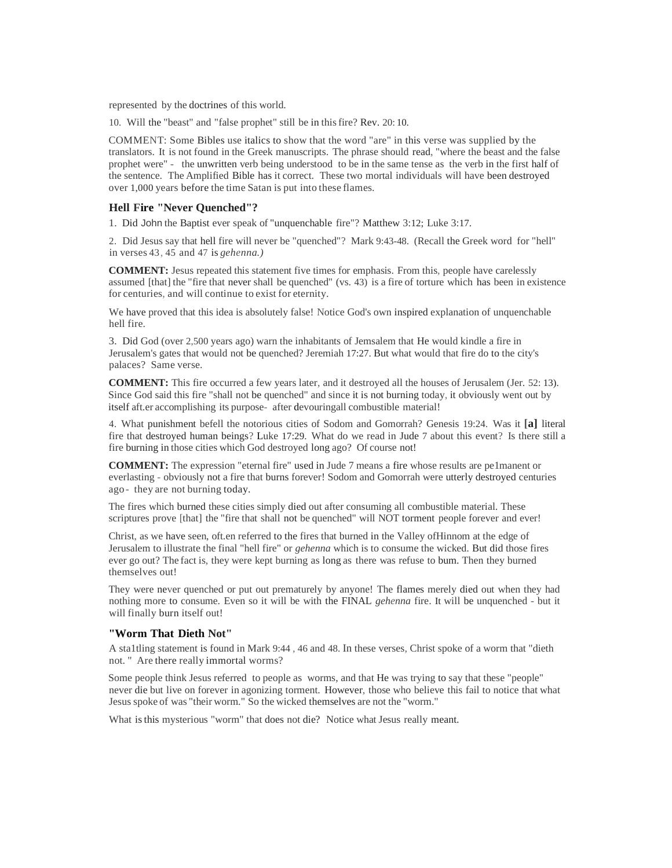represented by the doctrines of this world.

10. Will the "beast" and "false prophet" still be in thisfire? Rev. 20: 10.

COMMENT: Some Bibles use italics to show that the word "are" in this verse was supplied by the translators. It is not found in the Greek manuscripts. The phrase should read, "where the beast and the false prophet were" - the unwritten verb being understood to be in the same tense as the verb in the first half of the sentence. The Amplified Bible has it correct. These two mortal individuals will have been destroyed over 1,000 years before the time Satan is put into these flames.

## **Hell Fire "Never Quenched"?**

1. Did John the Baptist ever speak of "unquenchable fire"? Matthew 3:12; Luke 3:17.

2. Did Jesus say that hell fire will never be "quenched"? Mark 9:43-48. (Recall the Greek word for "hell" in verses 43, 45 and 47 is *gehenna.)*

**COMMENT:** Jesus repeated this statement five times for emphasis. From this, people have carelessly assumed [that] the "fire that never shall be quenched" (vs. 43) is a fire of torture which has been in existence for centuries, and will continue to exist for eternity.

We have proved that this idea is absolutely false! Notice God's own inspired explanation of unquenchable hell fire.

3. Did God (over 2,500 years ago) warn the inhabitants of Jemsalem that He would kindle a fire in Jerusalem's gates that would not be quenched? Jeremiah 17:27. But what would that fire do to the city's palaces? Same verse.

**COMMENT:** This fire occurred a few years later, and it destroyed all the houses of Jerusalem (Jer. 52: 13). Since God said this fire "shall not be quenched" and since it is not burning today, it obviously went out by itself aft.er accomplishing its purpose- after devouringall combustible material!

4. What punishment befell the notorious cities of Sodom and Gomorrah? Genesis 19:24. Was it **[a]** literal fire that destroyed human beings? Luke 17:29. What do we read in Jude 7 about this event? Is there still a fire burning in those cities which God destroyed long ago? Of course not!

**COMMENT:** The expression "eternal fire" used in Jude 7 means a fire whose results are pe1manent or everlasting - obviously not a fire that burns forever! Sodom and Gomorrah were utterly destroyed centuries ago- they are not burning today.

The fires which burned these cities simply died out after consuming all combustible material. These scriptures prove [that] the "fire that shall not be quenched" will NOT torment people forever and ever!

Christ, as we have seen, oft.en referred to the fires that burned in the Valley ofHinnom at the edge of Jerusalem to illustrate the final "hell fire" or *gehenna* which is to consume the wicked. But did those fires ever go out? The fact is, they were kept burning as long as there was refuse to bum. Then they burned themselves out!

They were never quenched or put out prematurely by anyone! The flames merely died out when they had nothing more to consume. Even so it will be with the FINAL *gehenna* fire. It will be unquenched - but it will finally burn itself out!

#### **"Worm That Dieth Not"**

A sta1tling statement is found in Mark 9:44 , 46 and 48. In these verses, Christ spoke of a worm that "dieth not. " Are there really immortal worms?

Some people think Jesus referred to people as worms, and that He was trying to say that these "people" never die but live on forever in agonizing torment. However, those who believe this fail to notice that what Jesus spoke of was "their worm." So the wicked themselves are not the "worm."

What isthis mysterious "worm" that does not die? Notice what Jesus really meant.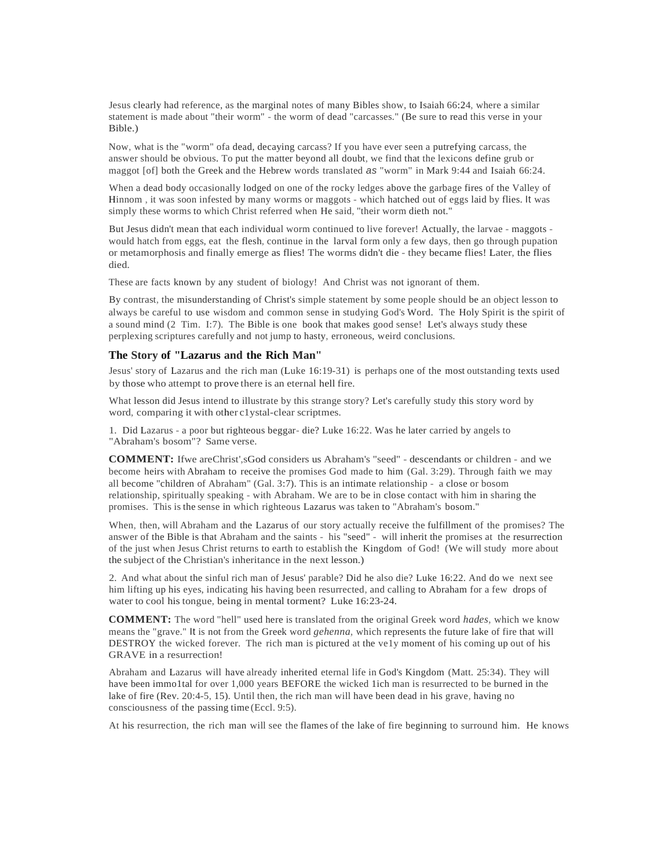Jesus clearly had reference, as the marginal notes of many Bibles show, to Isaiah 66:24, where a similar statement is made about "their worm" - the worm of dead "carcasses." (Be sure to read this verse in your Bible.)

Now, what is the "worm" ofa dead, decaying carcass? If you have ever seen a putrefying carcass, the answer should be obvious. To put the matter beyond all doubt, we find that the lexicons define grub or maggot [of] both the Greek and the Hebrew words translated *as* "worm" in Mark 9:44 and Isaiah 66:24.

When a dead body occasionally lodged on one of the rocky ledges above the garbage fires of the Valley of Hinnom , it was soon infested by many worms or maggots - which hatched out of eggs laid by flies. It was simply these worms to which Christ referred when He said, "their worm dieth not."

But Jesus didn't mean that each individual worm continued to live forever! Actually, the larvae - maggots would hatch from eggs, eat the flesh, continue in the larval form only a few days, then go through pupation or metamorphosis and finally emerge as flies! The worms didn't die - they became flies! Later, the flies died.

These are facts known by any student of biology! And Christ was not ignorant of them.

By contrast, the misunderstanding of Christ's simple statement by some people should be an object lesson to always be careful to use wisdom and common sense in studying God's Word. The Holy Spirit is the spirit of a sound mind (2 Tim. I:7). The Bible is one book that makes good sense! Let's always study these perplexing scriptures carefully and not jump to hasty, erroneous, weird conclusions.

#### **The Story of "Lazarus and the Rich Man"**

Jesus' story of Lazarus and the rich man (Luke 16:19-31) is perhaps one of the most outstanding texts used by those who attempt to prove there is an eternal hell fire.

What lesson did Jesus intend to illustrate by this strange story? Let's carefully study this story word by word, comparing it with other c1ystal-clear scriptmes.

1. Did Lazarus - a poor but righteous beggar- die? Luke 16:22. Was he later carried by angels to "Abraham's bosom"? Same verse.

**COMMENT:** Ifwe areChrist',sGod considers us Abraham's "seed" - descendants or children - and we become heirs with Abraham to receive the promises God made to him (Gal. 3:29). Through faith we may all become "children of Abraham" (Gal. 3:7). This is an intimate relationship - a close or bosom relationship, spiritually speaking - with Abraham. We are to be in close contact with him in sharing the promises. This is the sense in which righteous Lazarus was taken to "Abraham's bosom."

When, then, will Abraham and the Lazarus of our story actually receive the fulfillment of the promises? The answer of the Bible is that Abraham and the saints - his "seed" - will inherit the promises at the resurrection of the just when Jesus Christ returns to earth to establish the Kingdom of God! (We will study more about the subject of the Christian's inheritance in the next lesson.)

2. And what about the sinful rich man of Jesus' parable? Did he also die? Luke 16:22. And do we next see him lifting up his eyes, indicating his having been resurrected, and calling to Abraham for a few drops of water to cool his tongue, being in mental torment? Luke 16:23-24.

**COMMENT:** The word "hell" used here is translated from the original Greek word *hades,* which we know means the "grave." It is not from the Greek word *gehenna,* which represents the future lake of fire that will DESTROY the wicked forever. The rich man is pictured at the ve1y moment of his coming up out of his GRAVE in a resurrection!

Abraham and Lazarus will have already inherited eternal life in God's Kingdom (Matt. 25:34). They will have been immo1tal for over 1,000 years BEFORE the wicked 1ich man is resurrected to be burned in the lake of fire (Rev. 20:4-5, 15). Until then, the rich man will have been dead in his grave, having no consciousness of the passing time (Eccl. 9:5).

At his resurrection, the rich man will see the flames of the lake of fire beginning to surround him. He knows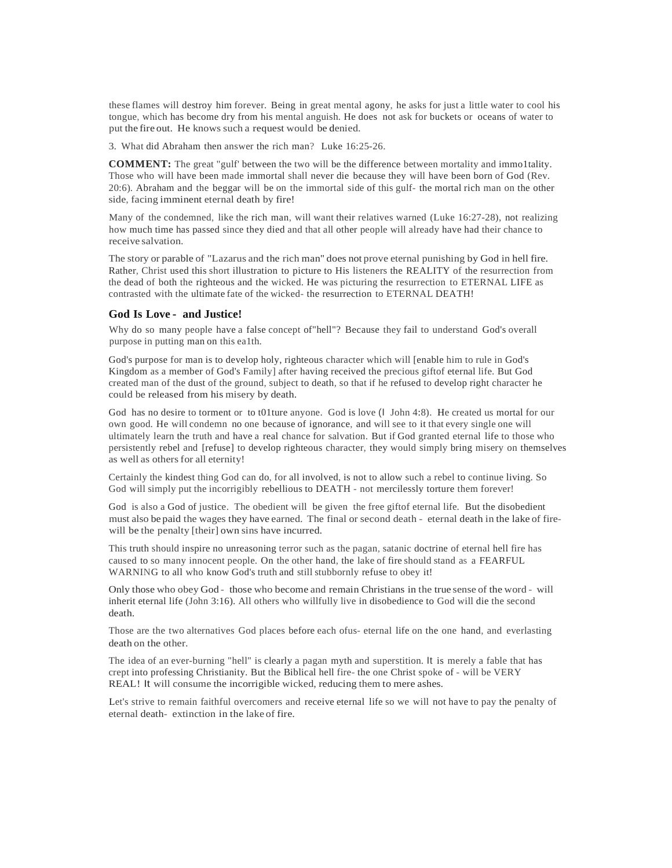these flames will destroy him forever. Being in great mental agony, he asks for just a little water to cool his tongue, which has become dry from his mental anguish. He does not ask for buckets or oceans of water to put the fire out. He knows such a request would be denied.

3. What did Abraham then answer the rich man? Luke 16:25-26.

**COMMENT:** The great "gulf' between the two will be the difference between mortality and immo1tality. Those who will have been made immortal shall never die because they will have been born of God (Rev. 20:6). Abraham and the beggar will be on the immortal side of this gulf- the mortal rich man on the other side, facing imminent eternal death by fire!

Many of the condemned, like the rich man, will want their relatives warned (Luke 16:27-28), not realizing how much time has passed since they died and that all other people will already have had their chance to receive salvation.

The story or parable of "Lazarus and the rich man" does not prove eternal punishing by God in hell fire. Rather, Christ used this short illustration to picture to His listeners the REALITY of the resurrection from the dead of both the righteous and the wicked. He was picturing the resurrection to ETERNAL LIFE as contrasted with the ultimate fate of the wicked- the resurrection to ETERNAL DEATH!

#### **God Is Love - and Justice!**

Why do so many people have a false concept of"hell"? Because they fail to understand God's overall purpose in putting man on this ea1th.

God's purpose for man is to develop holy, righteous character which will [enable him to rule in God's Kingdom as a member of God's Family] after having received the precious giftof eternal life. But God created man of the dust of the ground, subject to death, so that if he refused to develop right character he could be released from his misery by death.

God has no desire to torment or to t01ture anyone. God is love (I John 4:8). He created us mortal for our own good. He will condemn no one because of ignorance, and will see to it that every single one will ultimately learn the truth and have a real chance for salvation. But if God granted eternal life to those who persistently rebel and [refuse] to develop righteous character, they would simply bring misery on themselves as well as others for all eternity!

Certainly the kindest thing God can do, for all involved, is not to allow such a rebel to continue living. So God will simply put the incorrigibly rebellious to DEATH - not mercilessly torture them forever!

God is also a God of justice. The obedient will be given the free giftof eternal life. But the disobedient must also be paid the wages they have earned. The final or second death - eternal death in the lake of firewill be the penalty [their] own sins have incurred.

This truth should inspire no unreasoning terror such as the pagan, satanic doctrine of eternal hell fire has caused to so many innocent people. On the other hand, the lake of fire should stand as a FEARFUL WARNING to all who know God's truth and still stubbornly refuse to obey it!

Only those who obey God - those who become and remain Christians in the true sense of the word - will inherit eternal life (John 3:16). All others who willfully live in disobedience to God will die the second death.

Those are the two alternatives God places before each ofus- eternal life on the one hand, and everlasting death on the other.

The idea of an ever-burning "hell" is clearly a pagan myth and superstition. It is merely a fable that has crept into professing Christianity. But the Biblical hell fire- the one Christ spoke of - will be VERY REAL! It will consume the incorrigible wicked, reducing them to mere ashes.

Let's strive to remain faithful overcomers and receive eternal life so we will not have to pay the penalty of eternal death- extinction in the lake of fire.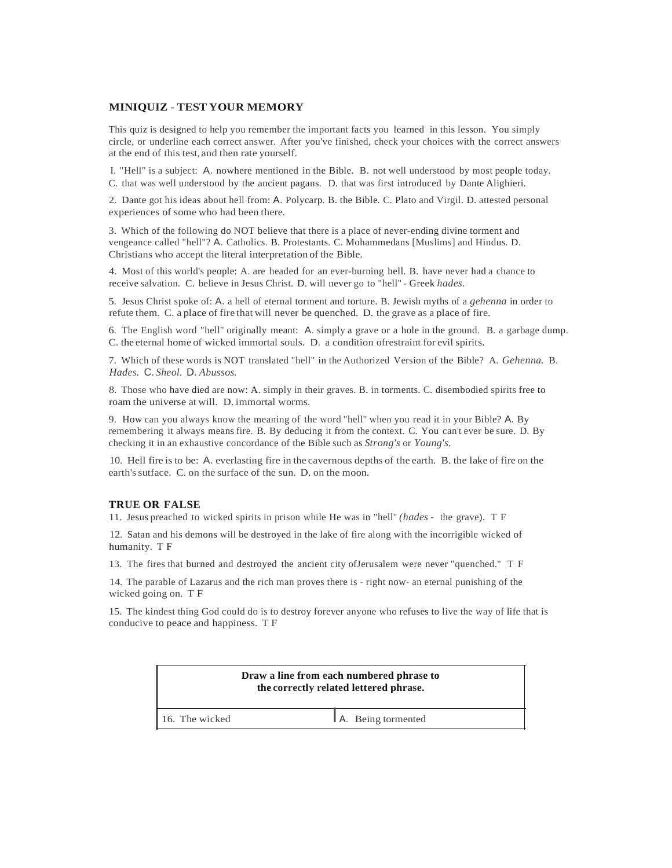# **MINIQUIZ** - **TEST YOUR MEMORY**

This quiz is designed to help you remember the important facts you learned in this lesson. You simply circle, or underline each correct answer. After you've finished, check your choices with the correct answers at the end of this test, and then rate yourself.

I. "Hell" is a subject: A. nowhere mentioned in the Bible. B. not well understood by most people today. C. that was well understood by the ancient pagans. D. that was first introduced by Dante Alighieri.

2. Dante got his ideas about hell from: A. Polycarp. B. the Bible. C. Plato and Virgil. D. attested personal experiences of some who had been there.

3. Which of the following do NOT believe that there is a place of never-ending divine torment and vengeance called "hell"? A. Catholics. B. Protestants. C. Mohammedans [Muslims] and Hindus. D. Christians who accept the literal interpretation of the Bible.

4. Most of this world's people: A. are headed for an ever-burning hell. B. have never had a chance to receive salvation. C. believe in Jesus Christ. D. will never go to "hell" - Greek *hades.*

5. Jesus Christ spoke of: A. a hell of eternal torment and torture. B. Jewish myths of a *gehenna* in order to refute them. C. a place of fire that will never be quenched. D. the grave as a place of fire.

6. The English word "hell" originally meant: A. simply a grave or a hole in the ground. B. a garbage dump. C. the eternal home of wicked immortal souls. D. a condition ofrestraint for evil spirits.

7. Which of these words is NOT translated "hell" in the Authorized Version of the Bible? A. *Gehenna.* B. *Hades.* C. *Sheol.* D. *Abussos.*

8. Those who have died are now: A. simply in their graves. B. in torments. C. disembodied spirits free to roam the universe at will. D. immortal worms.

9. How can you always know the meaning of the word "hell" when you read it in your Bible? A. By remembering it always means fire. B. By deducing it from the context. C. You can't ever be sure. D. By checking it in an exhaustive concordance of the Bible such as *Strong's* or *Young's.*

10. Hell fire is to be: A. everlasting fire in the cavernous depths of the earth. B. the lake of fire on the earth'ssutface. C. on the surface of the sun. D. on the moon.

#### **TRUE OR FALSE**

11. Jesus preached to wicked spirits in prison while He was in "hell" *(hades* - the grave). T F

12. Satan and his demons will be destroyed in the lake of fire along with the incorrigible wicked of humanity. T F

13. The fires that burned and destroyed the ancient city ofJerusalem were never "quenched." T F

14. The parable of Lazarus and the rich man proves there is - right now- an eternal punishing of the wicked going on. T F

15. The kindest thing God could do is to destroy forever anyone who refuses to live the way of life that is conducive to peace and happiness. T F

| Draw a line from each numbered phrase to<br>the correctly related lettered phrase. |                    |
|------------------------------------------------------------------------------------|--------------------|
| 16. The wicked                                                                     | A. Being tormented |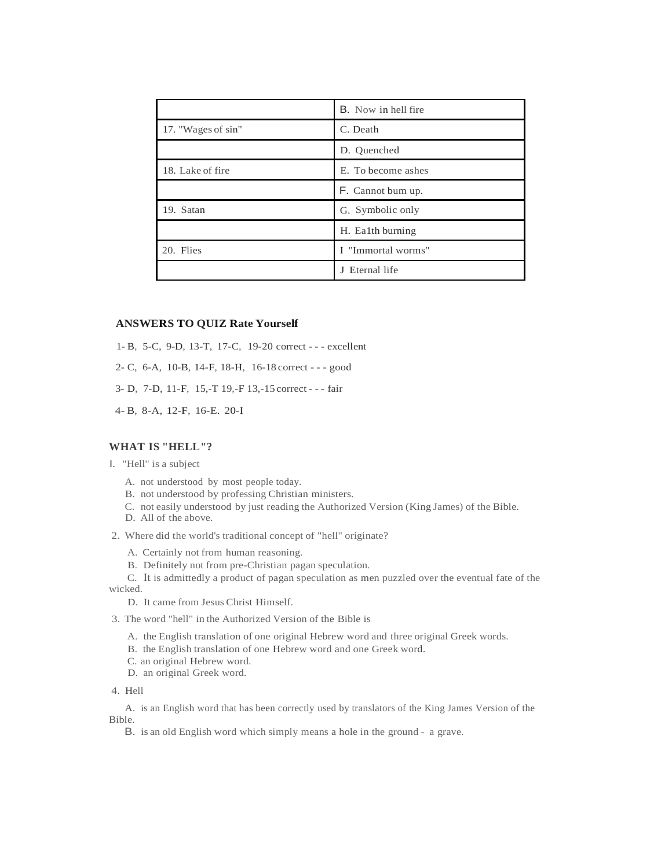|                    | <b>B.</b> Now in hell fire |
|--------------------|----------------------------|
| 17. "Wages of sin" | C. Death                   |
|                    | D. Ouenched                |
| 18. Lake of fire   | E. To become ashes         |
|                    | F. Cannot bum up.          |
| 19. Satan          | G. Symbolic only           |
|                    | H. Ealth burning           |
| 20. Flies          | I "Immortal worms"         |
|                    | J Eternal life             |

#### **ANSWERS TO QUIZ Rate Yourself**

- 1- B, 5-C, 9-D, 13-T, 17-C, 19-20 correct - excellent
- 2- C, 6-A, 10-B, 14-F, 18-H, 16-18 correct - good
- 3- D, 7-D, 11-F, 15,-T 19,-F 13,-15 correct - fair
- 4- B, 8-A, 12-F, 16-E. 20-I

# **WHAT IS "HELL"?**

- I. "Hell" is a subject
	- A. not understood by most people today.
	- B. not understood by professing Christian ministers.
	- C. not easily understood by just reading the Authorized Version (King James) of the Bible.
	- D. All of the above.
- 2. Where did the world's traditional concept of "hell" originate?
	- A. Certainly not from human reasoning.
	- B. Definitely not from pre-Christian pagan speculation.
- C. It is admittedly a product of pagan speculation as men puzzled over the eventual fate of the wicked.
	- D. It came from Jesus Christ Himself.
- 3. The word "hell" in the Authorized Version of the Bible is
	- A. the English translation of one original Hebrew word and three original Greek words.
	- B. the English translation of one Hebrew word and one Greek word.
	- C. an original Hebrew word.
	- D. an original Greek word.

4. Hell

A. is an English word that has been correctly used by translators of the King James Version of the Bible.

B. is an old English word which simply means a hole in the ground - a grave.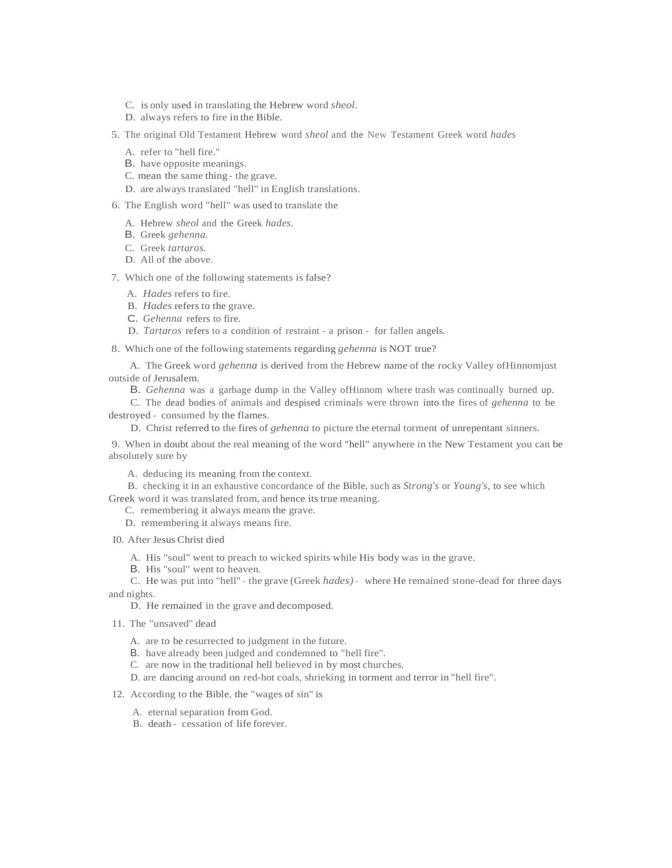- C. is only used in translating the Hebrew word *sheol.*
- D. always refers to fire in the Bible.
- 5. The original Old Testament Hebrew word *sheol* and the New Testament Greek word *hades*
	- A. refer to "hell fire."
	- B. have opposite meanings.
	- C. mean the same thing the grave.
	- D. are always translated "hell" in English translations.
- 6. The English word "hell" was used to translate the
	- A. Hebrew *sheol* and the Greek *hades.*
	- B. Greek *gehenna.*
	- C. Greek *tartaros.*
	- D. All of the above.
- 7. Which one of the following statements is false?
	- A. *Hades* refers to fire.
	- B. *Hades* refers to the grave.
	- C. *Gehenna* refers to fire.
	- D. *Tartaros* refers to a condition of restraint a prison for fallen angels.
- 8. Which one of the following statements regarding *gehenna* is NOT true?
- A. The Greek word *gehenna* is derived from the Hebrew name of the rocky Valley ofHinnomjust outside of Jerusalem.
	- B. *Gehenna* was a garbage dump in the Valley ofHinnom where trash was continually burned up.
- C. The dead bodies of animals and despised criminals were thrown into the fires of *gehenna* to be destroyed - consumed by the flames.
	- D. Christ referred to the fires of *gehenna* to picture the eternal torment of unrepentant sinners.
- 9. When in doubt about the real meaning of the word "hell" anywhere in the New Testament you can be absolutely sure by
	- A. deducing its meaning from the context.
- B. checking it in an exhaustive concordance of the Bible, such as *Strong's* or *Young's,* to see which Greek word it was translated from, and hence its true meaning.
	- C. remembering it always means the grave.
	- D. remembering it always means fire.
- I0. After JesusChrist died
	- A. His "soul" went to preach to wicked spirits while His body was in the grave.
	- B. His "soul" went to heaven.
- C. He was put into "hell" the grave (Greek *hades)* where He remained stone-dead for three days and nights.
	- D. He remained in the grave and decomposed.
- 11. The "unsaved" dead
	- A. are to be resurrected to judgment in the future.
	- B. have already been judged and condemned to "hell fire".
	- C. are now in the traditional hell believed in by most churches.
	- D. are dancing around on red-hot coals, shrieking in torment and terror in "hell fire".

### 12. According to the Bible, the "wages of sin" is

- A. eternal separation from God.
- B. death cessation of life forever.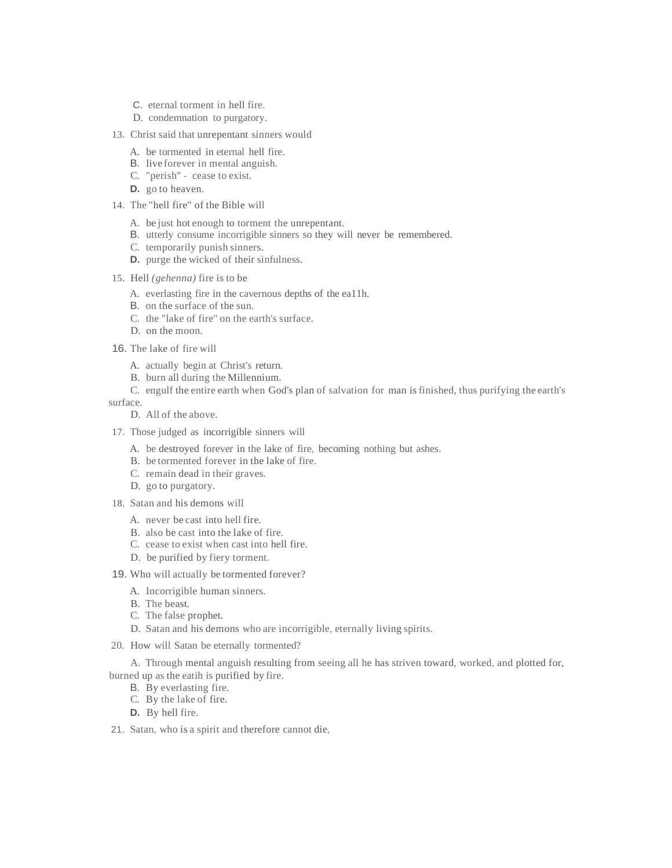- C. eternal torment in hell fire.
- D. condemnation to purgatory.
- 13. Christ said that unrepentant sinners would
	- A. be tormented in eternal hell fire.
	- B. live forever in mental anguish.
	- C. "perish" cease to exist.
	- **D.** go to heaven.
- 14. The "hell fire" of the Bible will
	- A. be just hot enough to torment the unrepentant.
	- B. utterly consume incorrigible sinners so they will never be remembered.
	- C. temporarily punish sinners.
	- **D.** purge the wicked of their sinfulness.
- 15. Hell *(gehenna)* fire is to be
	- A. everlasting fire in the cavernous depths of the ea11h.
	- B. on the surface of the sun.
	- C. the "lake of fire" on the earth's surface.
	- D. on the moon.
- 16. The lake of fire will
	- A. actually begin at Christ's return.
	- B. burn all during the Millennium.
	- C. engulf the entire earth when God's plan of salvation for man isfinished, thus purifying the earth's

surface.

- D. All of the above.
- 17. Those judged as incorrigible sinners will
	- A. be destroyed forever in the lake of fire, becoming nothing but ashes.
	- B. be tormented forever in the lake of fire.
	- C. remain dead in their graves.
	- D. go to purgatory.
- 18. Satan and his demons will
	- A. never be cast into hell fire.
	- B. also be cast into the lake of fire.
	- C. cease to exist when cast into hell fire.
	- D. be purified by fiery torment.
- 19. Who will actually be tormented forever?
	- A. Incorrigible human sinners.
	- B. The beast.
	- C. The false prophet.
	- D. Satan and his demons who are incorrigible, eternally living spirits.
- 20. How will Satan be eternally tormented?

A. Through mental anguish resulting from seeing all he has striven toward, worked, and plotted for, burned up as the eatih is purified by fire.

- B. By everlasting fire.
- C. By the lake of fire.
- **D.** By hell fire.
- 21. Satan, who is a spirit and therefore cannot die,